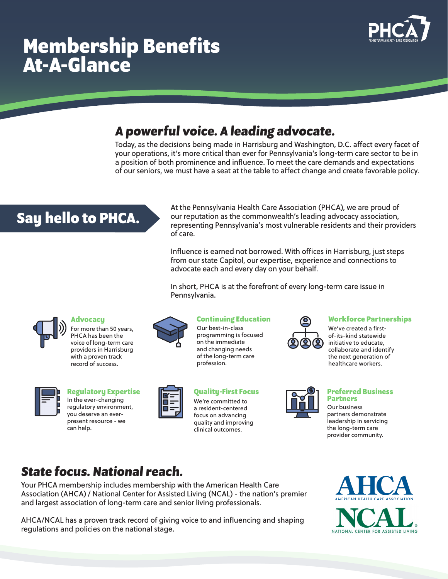# **Membership Benefits At-A-Glance**



### **A powerful voice. A leading advocate.**

Today, as the decisions being made in Harrisburg and Washington, D.C. affect every facet of your operations, it's more critical than ever for Pennsylvania's long-term care sector to be in a position of both prominence and influence. To meet the care demands and expectations of our seniors, we must have a seat at the table to affect change and create favorable policy.

## **Say hello to PHCA.**

At the Pennsylvania Health Care Association (PHCA), we are proud of our reputation as the commonwealth's leading advocacy association, representing Pennsylvania's most vulnerable residents and their providers of care.

Influence is earned not borrowed. With offices in Harrisburg, just steps from our state Capitol, our expertise, experience and connections to advocate each and every day on your behalf.

In short, PHCA is at the forefront of every long-term care issue in Pennsylvania.



### **Advocacy**

For more than 50 years, PHCA has been the voice of long-term care providers in Harrisburg with a proven track record of success.



In the ever-changing regulatory environment, you deserve an everpresent resource - we can help.



Our best-in-class programming is focused on the immediate and changing needs of the long-term care profession.



**Regulatory Expertise Quality-First Focus Preferred Business** 

We're committed to a resident-centered focus on advancing quality and improving clinical outcomes.



### **Continuing Education Workforce Partnerships**

We've created a firstof-its-kind statewide initiative to educate, collaborate and identify the next generation of healthcare workers.



## **Partners**

Our business partners demonstrate leadership in servicing the long-term care provider community.

### **State focus. National reach.**

Your PHCA membership includes membership with the American Health Care Association (AHCA) / National Center for Assisted Living (NCAL) - the nation's premier and largest association of long-term care and senior living professionals.

AHCA/NCAL has a proven track record of giving voice to and influencing and shaping regulations and policies on the national stage.